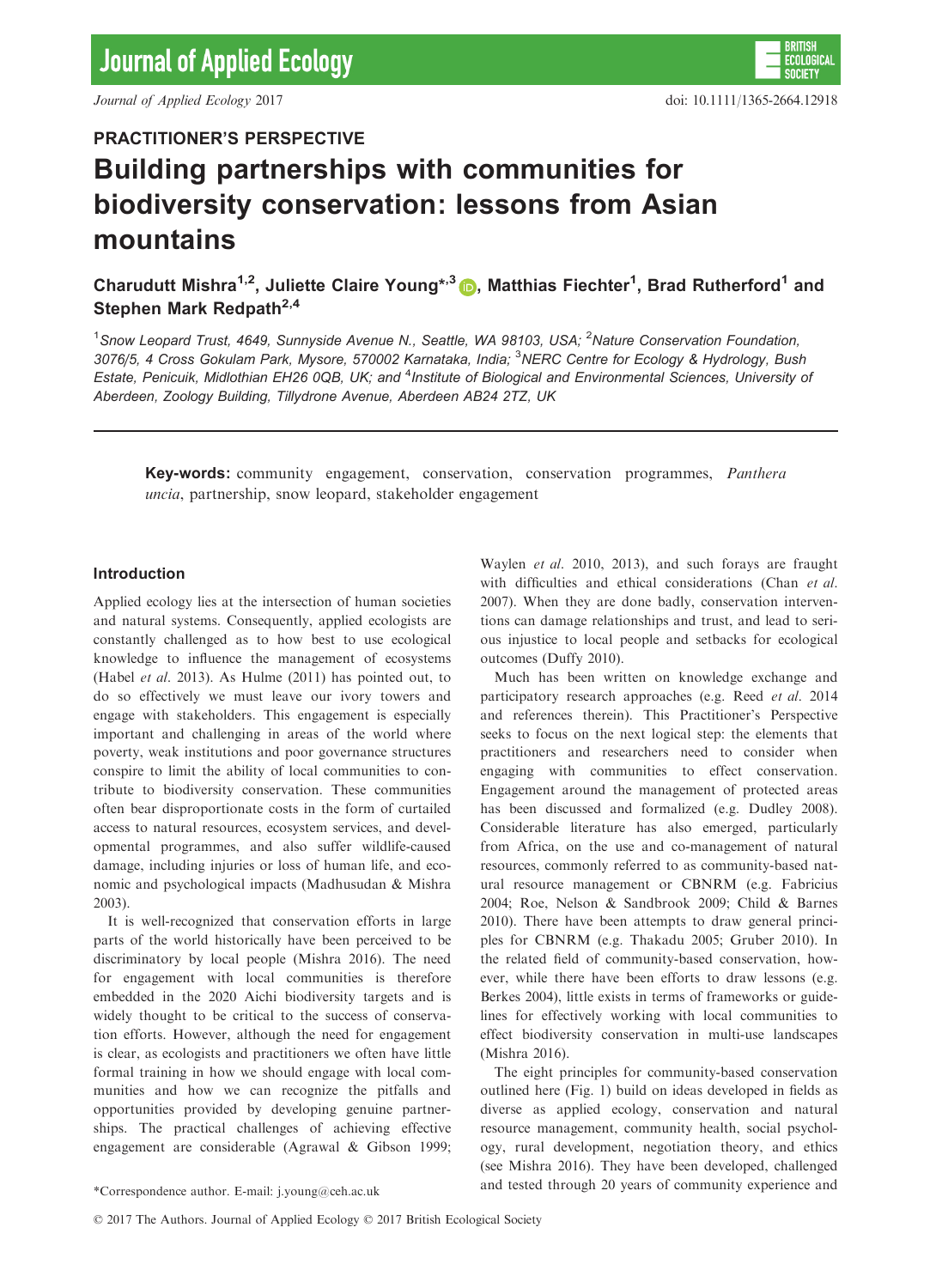Journal of Applied Ecology 2017 doi: 10.1111/1365-2664.12918

# PRACTITIONER'S PERSPECTIVE Building partnerships with communities for biodiversity conservation: lessons from Asian mountains

Charudutt Mishra<sup>1,2</sup>, Juliette Claire Young<sup>\*,[3](http://orcid.org/0000-0002-8522-0883)</sup> D, Matthias Fiechter<sup>1</sup>, Brad Rutherford<sup>1</sup> and Stephen Mark Redpath $^{2,4}$ 

<sup>1</sup>Snow Leopard Trust, 4649, Sunnyside Avenue N., Seattle, WA 98103, USA; <sup>2</sup>Nature Conservation Foundation, 3076/5, 4 Cross Gokulam Park, Mysore, 570002 Karnataka, India; <sup>3</sup>NERC Centre for Ecology & Hydrology, Bush Estate, Penicuik, Midlothian EH26 0QB, UK; and <sup>4</sup>Institute of Biological and Environmental Sciences, University ot Aberdeen, Zoology Building, Tillydrone Avenue, Aberdeen AB24 2TZ, UK

Key-words: community engagement, conservation, conservation programmes, Panthera uncia, partnership, snow leopard, stakeholder engagement

## Introduction

Applied ecology lies at the intersection of human societies and natural systems. Consequently, applied ecologists are constantly challenged as to how best to use ecological knowledge to influence the management of ecosystems (Habel et al. 2013). As Hulme (2011) has pointed out, to do so effectively we must leave our ivory towers and engage with stakeholders. This engagement is especially important and challenging in areas of the world where poverty, weak institutions and poor governance structures conspire to limit the ability of local communities to contribute to biodiversity conservation. These communities often bear disproportionate costs in the form of curtailed access to natural resources, ecosystem services, and developmental programmes, and also suffer wildlife-caused damage, including injuries or loss of human life, and economic and psychological impacts (Madhusudan & Mishra 2003).

It is well-recognized that conservation efforts in large parts of the world historically have been perceived to be discriminatory by local people (Mishra 2016). The need for engagement with local communities is therefore embedded in the 2020 Aichi biodiversity targets and is widely thought to be critical to the success of conservation efforts. However, although the need for engagement is clear, as ecologists and practitioners we often have little formal training in how we should engage with local communities and how we can recognize the pitfalls and opportunities provided by developing genuine partnerships. The practical challenges of achieving effective engagement are considerable (Agrawal & Gibson 1999; Waylen et al. 2010, 2013), and such forays are fraught with difficulties and ethical considerations (Chan et al. 2007). When they are done badly, conservation interventions can damage relationships and trust, and lead to serious injustice to local people and setbacks for ecological outcomes (Duffy 2010).

Much has been written on knowledge exchange and participatory research approaches (e.g. Reed et al. 2014 and references therein). This Practitioner's Perspective seeks to focus on the next logical step: the elements that practitioners and researchers need to consider when engaging with communities to effect conservation. Engagement around the management of protected areas has been discussed and formalized (e.g. Dudley 2008). Considerable literature has also emerged, particularly from Africa, on the use and co-management of natural resources, commonly referred to as community-based natural resource management or CBNRM (e.g. Fabricius 2004; Roe, Nelson & Sandbrook 2009; Child & Barnes 2010). There have been attempts to draw general principles for CBNRM (e.g. Thakadu 2005; Gruber 2010). In the related field of community-based conservation, however, while there have been efforts to draw lessons (e.g. Berkes 2004), little exists in terms of frameworks or guidelines for effectively working with local communities to effect biodiversity conservation in multi-use landscapes (Mishra 2016).

The eight principles for community-based conservation outlined here (Fig. 1) build on ideas developed in fields as diverse as applied ecology, conservation and natural resource management, community health, social psychology, rural development, negotiation theory, and ethics (see Mishra 2016). They have been developed, challenged and tested through 20 years of community experience and \*Correspondence author. E-mail: j.young@ceh.ac.uk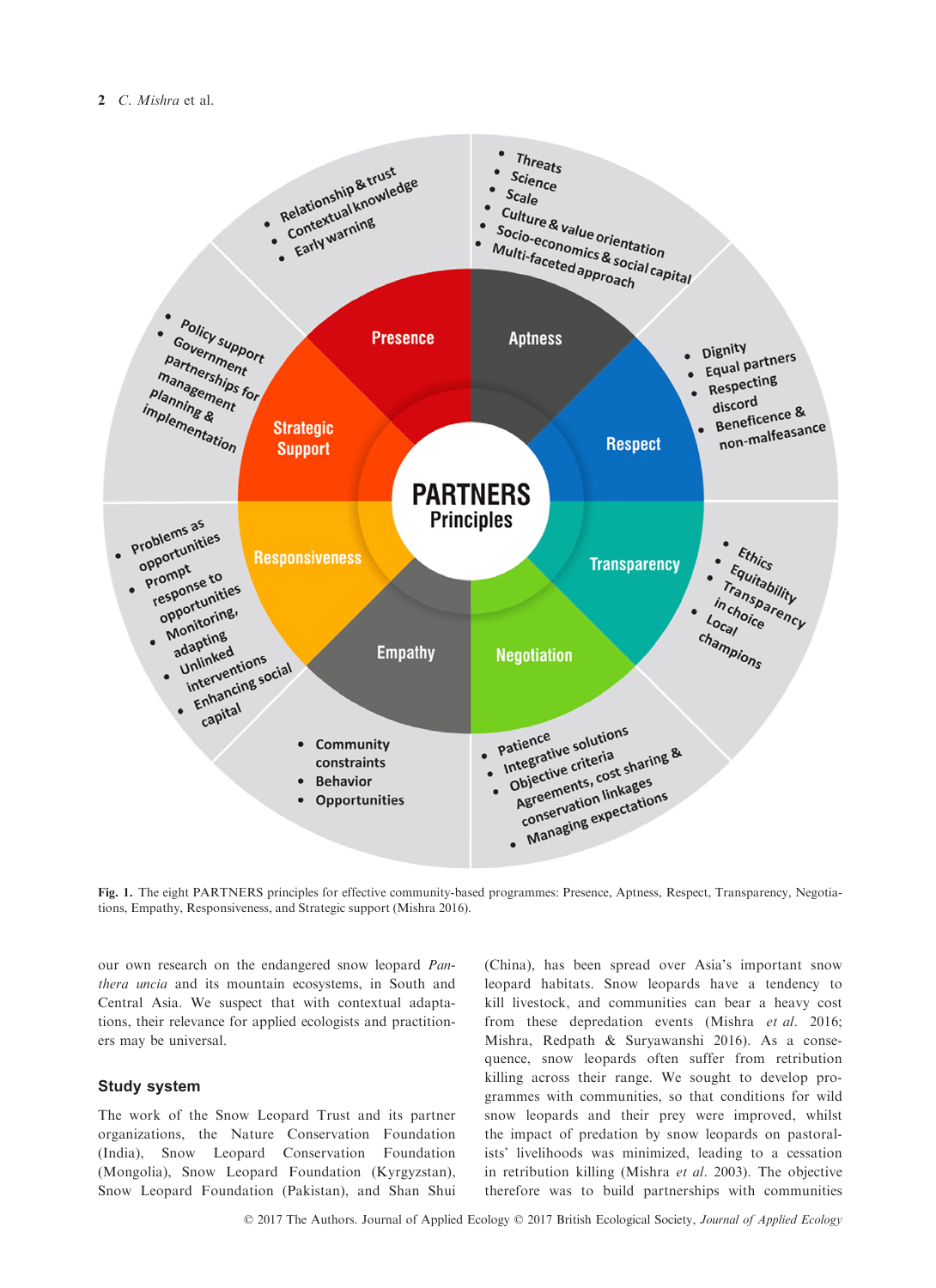

Fig. 1. The eight PARTNERS principles for effective community-based programmes: Presence, Aptness, Respect, Transparency, Negotiations, Empathy, Responsiveness, and Strategic support (Mishra 2016).

our own research on the endangered snow leopard Panthera uncia and its mountain ecosystems, in South and Central Asia. We suspect that with contextual adaptations, their relevance for applied ecologists and practitioners may be universal.

## Study system

The work of the Snow Leopard Trust and its partner organizations, the Nature Conservation Foundation (India), Snow Leopard Conservation Foundation (Mongolia), Snow Leopard Foundation (Kyrgyzstan), Snow Leopard Foundation (Pakistan), and Shan Shui (China), has been spread over Asia's important snow leopard habitats. Snow leopards have a tendency to kill livestock, and communities can bear a heavy cost from these depredation events (Mishra et al. 2016; Mishra, Redpath & Suryawanshi 2016). As a consequence, snow leopards often suffer from retribution killing across their range. We sought to develop programmes with communities, so that conditions for wild snow leopards and their prey were improved, whilst the impact of predation by snow leopards on pastoralists' livelihoods was minimized, leading to a cessation in retribution killing (Mishra et al. 2003). The objective therefore was to build partnerships with communities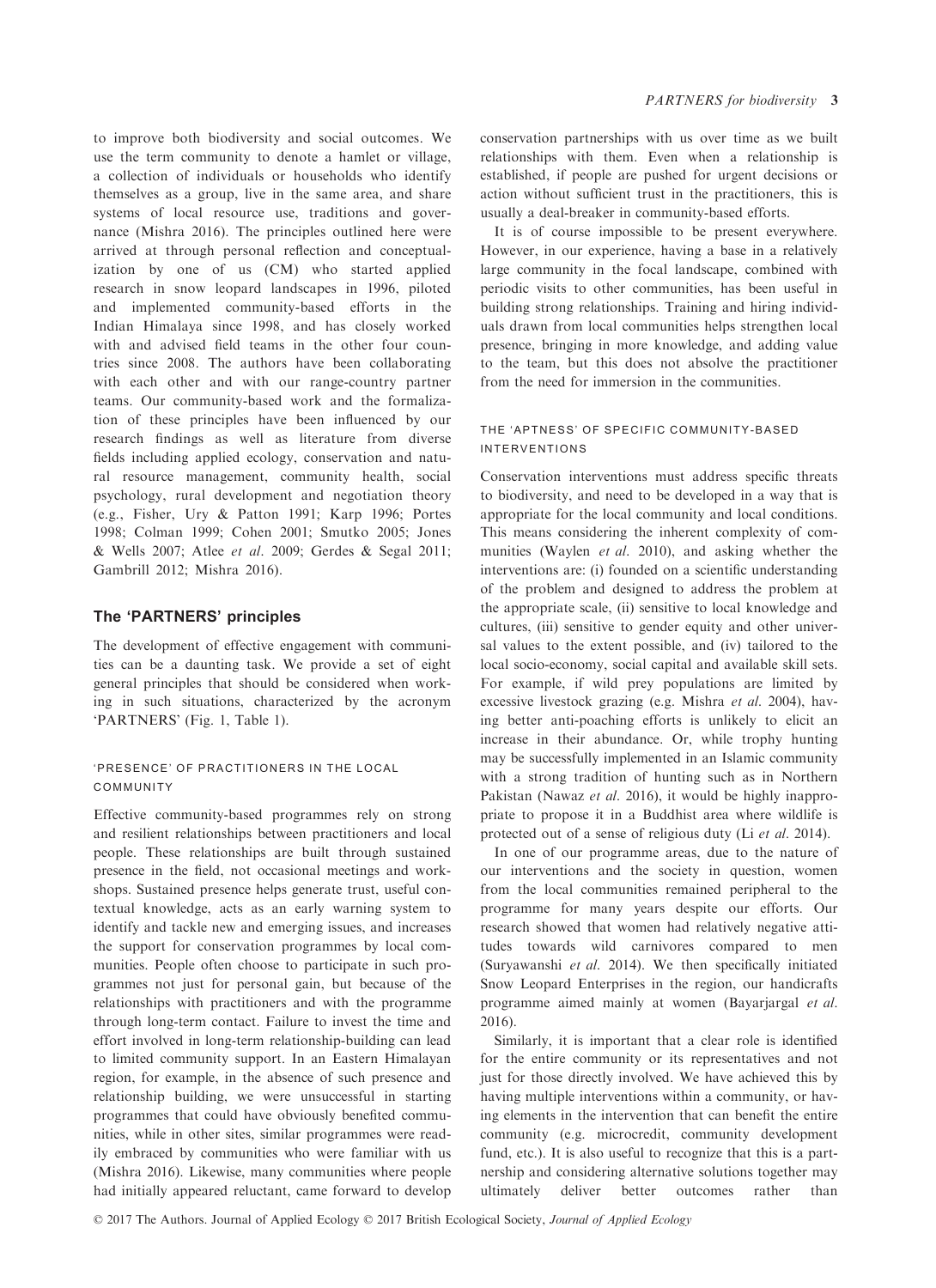to improve both biodiversity and social outcomes. We use the term community to denote a hamlet or village, a collection of individuals or households who identify themselves as a group, live in the same area, and share systems of local resource use, traditions and governance (Mishra 2016). The principles outlined here were arrived at through personal reflection and conceptualization by one of us (CM) who started applied research in snow leopard landscapes in 1996, piloted and implemented community-based efforts in the Indian Himalaya since 1998, and has closely worked with and advised field teams in the other four countries since 2008. The authors have been collaborating with each other and with our range-country partner teams. Our community-based work and the formalization of these principles have been influenced by our research findings as well as literature from diverse fields including applied ecology, conservation and natural resource management, community health, social psychology, rural development and negotiation theory (e.g., Fisher, Ury & Patton 1991; Karp 1996; Portes 1998; Colman 1999; Cohen 2001; Smutko 2005; Jones & Wells 2007; Atlee et al. 2009; Gerdes & Segal 2011; Gambrill 2012; Mishra 2016).

## The 'PARTNERS' principles

The development of effective engagement with communities can be a daunting task. We provide a set of eight general principles that should be considered when working in such situations, characterized by the acronym 'PARTNERS' (Fig. 1, Table 1).

#### 'PRESENCE' OF PRACTITIONERS IN THE LOCAL COMMUNITY

Effective community-based programmes rely on strong and resilient relationships between practitioners and local people. These relationships are built through sustained presence in the field, not occasional meetings and workshops. Sustained presence helps generate trust, useful contextual knowledge, acts as an early warning system to identify and tackle new and emerging issues, and increases the support for conservation programmes by local communities. People often choose to participate in such programmes not just for personal gain, but because of the relationships with practitioners and with the programme through long-term contact. Failure to invest the time and effort involved in long-term relationship-building can lead to limited community support. In an Eastern Himalayan region, for example, in the absence of such presence and relationship building, we were unsuccessful in starting programmes that could have obviously benefited communities, while in other sites, similar programmes were readily embraced by communities who were familiar with us (Mishra 2016). Likewise, many communities where people had initially appeared reluctant, came forward to develop conservation partnerships with us over time as we built relationships with them. Even when a relationship is established, if people are pushed for urgent decisions or action without sufficient trust in the practitioners, this is usually a deal-breaker in community-based efforts.

It is of course impossible to be present everywhere. However, in our experience, having a base in a relatively large community in the focal landscape, combined with periodic visits to other communities, has been useful in building strong relationships. Training and hiring individuals drawn from local communities helps strengthen local presence, bringing in more knowledge, and adding value to the team, but this does not absolve the practitioner from the need for immersion in the communities.

## THE 'APTNESS' OF SPECIFIC COMMUNITY-BASED INTERVENTIONS

Conservation interventions must address specific threats to biodiversity, and need to be developed in a way that is appropriate for the local community and local conditions. This means considering the inherent complexity of communities (Waylen et al. 2010), and asking whether the interventions are: (i) founded on a scientific understanding of the problem and designed to address the problem at the appropriate scale, (ii) sensitive to local knowledge and cultures, (iii) sensitive to gender equity and other universal values to the extent possible, and (iv) tailored to the local socio-economy, social capital and available skill sets. For example, if wild prey populations are limited by excessive livestock grazing (e.g. Mishra et al. 2004), having better anti-poaching efforts is unlikely to elicit an increase in their abundance. Or, while trophy hunting may be successfully implemented in an Islamic community with a strong tradition of hunting such as in Northern Pakistan (Nawaz et al. 2016), it would be highly inappropriate to propose it in a Buddhist area where wildlife is protected out of a sense of religious duty (Li et al. 2014).

In one of our programme areas, due to the nature of our interventions and the society in question, women from the local communities remained peripheral to the programme for many years despite our efforts. Our research showed that women had relatively negative attitudes towards wild carnivores compared to men (Suryawanshi et al. 2014). We then specifically initiated Snow Leopard Enterprises in the region, our handicrafts programme aimed mainly at women (Bayarjargal et al. 2016).

Similarly, it is important that a clear role is identified for the entire community or its representatives and not just for those directly involved. We have achieved this by having multiple interventions within a community, or having elements in the intervention that can benefit the entire community (e.g. microcredit, community development fund, etc.). It is also useful to recognize that this is a partnership and considering alternative solutions together may ultimately deliver better outcomes rather than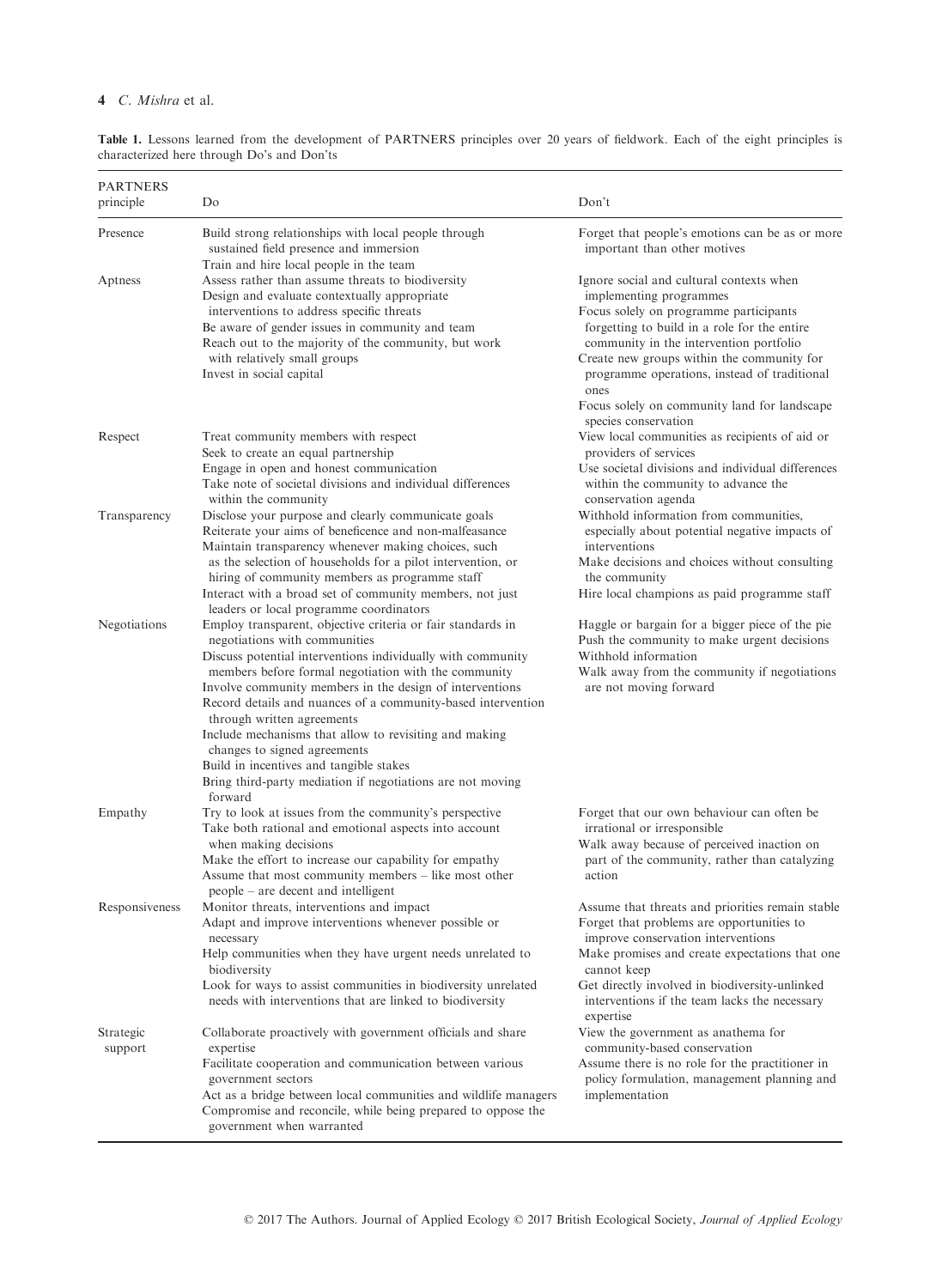## 4 C. Mishra et al.

Table 1. Lessons learned from the development of PARTNERS principles over 20 years of fieldwork. Each of the eight principles is characterized here through Do's and Don'ts

| <b>PARTNERS</b><br>principle | Do                                                                                                                                                                                                                                                                                                                                                                                                                                                                                                                                                                                          | Don't                                                                                                                                                                                                                                                                                                                                                                                  |
|------------------------------|---------------------------------------------------------------------------------------------------------------------------------------------------------------------------------------------------------------------------------------------------------------------------------------------------------------------------------------------------------------------------------------------------------------------------------------------------------------------------------------------------------------------------------------------------------------------------------------------|----------------------------------------------------------------------------------------------------------------------------------------------------------------------------------------------------------------------------------------------------------------------------------------------------------------------------------------------------------------------------------------|
| Presence                     | Build strong relationships with local people through<br>sustained field presence and immersion                                                                                                                                                                                                                                                                                                                                                                                                                                                                                              | Forget that people's emotions can be as or more<br>important than other motives                                                                                                                                                                                                                                                                                                        |
| Aptness                      | Train and hire local people in the team<br>Assess rather than assume threats to biodiversity<br>Design and evaluate contextually appropriate<br>interventions to address specific threats<br>Be aware of gender issues in community and team<br>Reach out to the majority of the community, but work<br>with relatively small groups<br>Invest in social capital                                                                                                                                                                                                                            | Ignore social and cultural contexts when<br>implementing programmes<br>Focus solely on programme participants<br>forgetting to build in a role for the entire<br>community in the intervention portfolio<br>Create new groups within the community for<br>programme operations, instead of traditional<br>ones<br>Focus solely on community land for landscape<br>species conservation |
| Respect                      | Treat community members with respect<br>Seek to create an equal partnership<br>Engage in open and honest communication<br>Take note of societal divisions and individual differences<br>within the community                                                                                                                                                                                                                                                                                                                                                                                | View local communities as recipients of aid or<br>providers of services<br>Use societal divisions and individual differences<br>within the community to advance the<br>conservation agenda                                                                                                                                                                                             |
| Transparency                 | Disclose your purpose and clearly communicate goals<br>Reiterate your aims of beneficence and non-malfeasance<br>Maintain transparency whenever making choices, such<br>as the selection of households for a pilot intervention, or<br>hiring of community members as programme staff<br>Interact with a broad set of community members, not just<br>leaders or local programme coordinators                                                                                                                                                                                                | Withhold information from communities.<br>especially about potential negative impacts of<br>interventions<br>Make decisions and choices without consulting<br>the community<br>Hire local champions as paid programme staff                                                                                                                                                            |
| Negotiations                 | Employ transparent, objective criteria or fair standards in<br>negotiations with communities<br>Discuss potential interventions individually with community<br>members before formal negotiation with the community<br>Involve community members in the design of interventions<br>Record details and nuances of a community-based intervention<br>through written agreements<br>Include mechanisms that allow to revisiting and making<br>changes to signed agreements<br>Build in incentives and tangible stakes<br>Bring third-party mediation if negotiations are not moving<br>forward | Haggle or bargain for a bigger piece of the pie<br>Push the community to make urgent decisions<br>Withhold information<br>Walk away from the community if negotiations<br>are not moving forward                                                                                                                                                                                       |
| Empathy                      | Try to look at issues from the community's perspective<br>Take both rational and emotional aspects into account<br>when making decisions<br>Make the effort to increase our capability for empathy<br>Assume that most community members - like most other<br>people – are decent and intelligent                                                                                                                                                                                                                                                                                           | Forget that our own behaviour can often be<br>irrational or irresponsible<br>Walk away because of perceived inaction on<br>part of the community, rather than catalyzing<br>action                                                                                                                                                                                                     |
| Responsiveness               | Monitor threats, interventions and impact<br>Adapt and improve interventions whenever possible or<br>necessary<br>Help communities when they have urgent needs unrelated to<br>biodiversity<br>Look for ways to assist communities in biodiversity unrelated<br>needs with interventions that are linked to biodiversity                                                                                                                                                                                                                                                                    | Assume that threats and priorities remain stable<br>Forget that problems are opportunities to<br>improve conservation interventions<br>Make promises and create expectations that one<br>cannot keep<br>Get directly involved in biodiversity-unlinked<br>interventions if the team lacks the necessary<br>expertise                                                                   |
| Strategic<br>support         | Collaborate proactively with government officials and share<br>expertise<br>Facilitate cooperation and communication between various<br>government sectors<br>Act as a bridge between local communities and wildlife managers<br>Compromise and reconcile, while being prepared to oppose the<br>government when warranted                                                                                                                                                                                                                                                                  | View the government as anathema for<br>community-based conservation<br>Assume there is no role for the practitioner in<br>policy formulation, management planning and<br>implementation                                                                                                                                                                                                |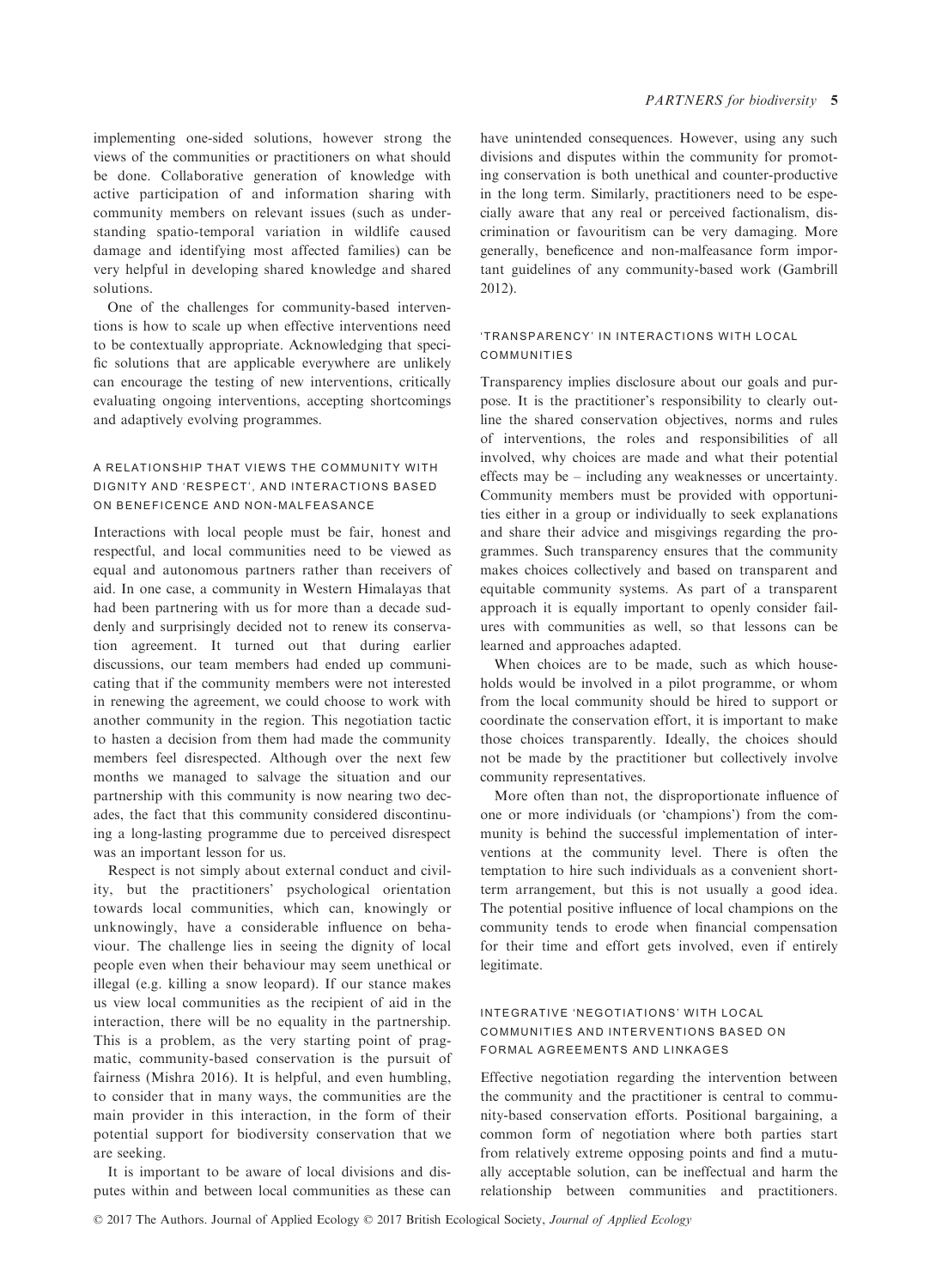implementing one-sided solutions, however strong the views of the communities or practitioners on what should be done. Collaborative generation of knowledge with active participation of and information sharing with community members on relevant issues (such as understanding spatio-temporal variation in wildlife caused damage and identifying most affected families) can be very helpful in developing shared knowledge and shared solutions.

One of the challenges for community-based interventions is how to scale up when effective interventions need to be contextually appropriate. Acknowledging that specific solutions that are applicable everywhere are unlikely can encourage the testing of new interventions, critically evaluating ongoing interventions, accepting shortcomings and adaptively evolving programmes.

# A RELATIONSHIP THAT VIEWS THE COMMUNITY WITH DIGNITY AND 'RESPECT', AND INTERACTIONS BASED ON BENEFICENCE AND NON-MALFEASANCE

Interactions with local people must be fair, honest and respectful, and local communities need to be viewed as equal and autonomous partners rather than receivers of aid. In one case, a community in Western Himalayas that had been partnering with us for more than a decade suddenly and surprisingly decided not to renew its conservation agreement. It turned out that during earlier discussions, our team members had ended up communicating that if the community members were not interested in renewing the agreement, we could choose to work with another community in the region. This negotiation tactic to hasten a decision from them had made the community members feel disrespected. Although over the next few months we managed to salvage the situation and our partnership with this community is now nearing two decades, the fact that this community considered discontinuing a long-lasting programme due to perceived disrespect was an important lesson for us.

Respect is not simply about external conduct and civility, but the practitioners' psychological orientation towards local communities, which can, knowingly or unknowingly, have a considerable influence on behaviour. The challenge lies in seeing the dignity of local people even when their behaviour may seem unethical or illegal (e.g. killing a snow leopard). If our stance makes us view local communities as the recipient of aid in the interaction, there will be no equality in the partnership. This is a problem, as the very starting point of pragmatic, community-based conservation is the pursuit of fairness (Mishra 2016). It is helpful, and even humbling, to consider that in many ways, the communities are the main provider in this interaction, in the form of their potential support for biodiversity conservation that we are seeking.

It is important to be aware of local divisions and disputes within and between local communities as these can have unintended consequences. However, using any such divisions and disputes within the community for promoting conservation is both unethical and counter-productive in the long term. Similarly, practitioners need to be especially aware that any real or perceived factionalism, discrimination or favouritism can be very damaging. More generally, beneficence and non-malfeasance form important guidelines of any community-based work (Gambrill 2012).

## 'TRANSPARENCY' IN INTERACTIONS WITH LOCAL COMMUNITIES

Transparency implies disclosure about our goals and purpose. It is the practitioner's responsibility to clearly outline the shared conservation objectives, norms and rules of interventions, the roles and responsibilities of all involved, why choices are made and what their potential effects may be – including any weaknesses or uncertainty. Community members must be provided with opportunities either in a group or individually to seek explanations and share their advice and misgivings regarding the programmes. Such transparency ensures that the community makes choices collectively and based on transparent and equitable community systems. As part of a transparent approach it is equally important to openly consider failures with communities as well, so that lessons can be learned and approaches adapted.

When choices are to be made, such as which households would be involved in a pilot programme, or whom from the local community should be hired to support or coordinate the conservation effort, it is important to make those choices transparently. Ideally, the choices should not be made by the practitioner but collectively involve community representatives.

More often than not, the disproportionate influence of one or more individuals (or 'champions') from the community is behind the successful implementation of interventions at the community level. There is often the temptation to hire such individuals as a convenient shortterm arrangement, but this is not usually a good idea. The potential positive influence of local champions on the community tends to erode when financial compensation for their time and effort gets involved, even if entirely legitimate.

# INTEGRATIVE 'NEGOTIATIONS' WITH LOCAL COMMUNITIES AND INTERVENTIONS BASED ON FORMAL AGREEMENTS AND LINKAGES

Effective negotiation regarding the intervention between the community and the practitioner is central to community-based conservation efforts. Positional bargaining, a common form of negotiation where both parties start from relatively extreme opposing points and find a mutually acceptable solution, can be ineffectual and harm the relationship between communities and practitioners.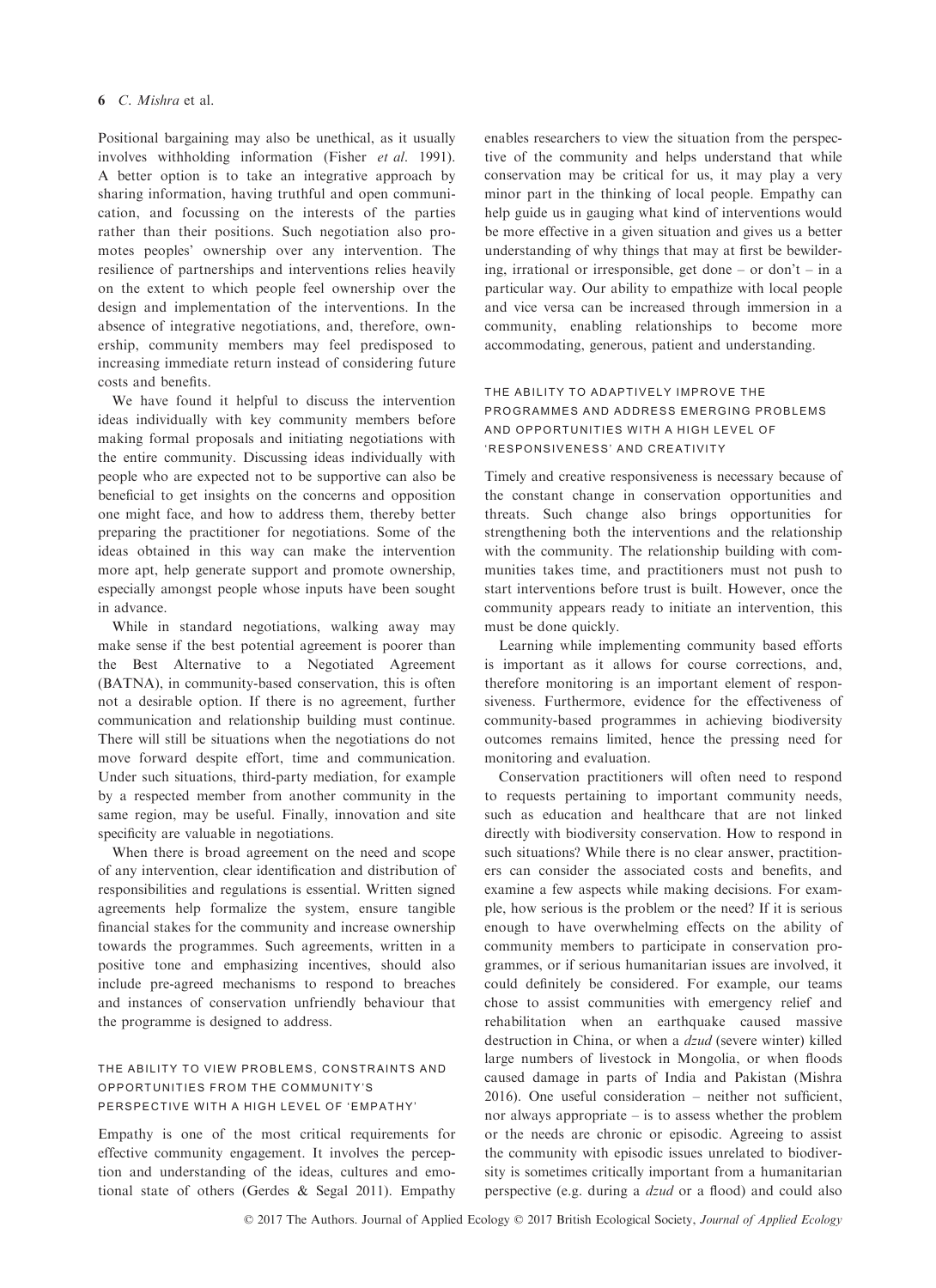Positional bargaining may also be unethical, as it usually involves withholding information (Fisher et al. 1991). A better option is to take an integrative approach by sharing information, having truthful and open communication, and focussing on the interests of the parties rather than their positions. Such negotiation also promotes peoples' ownership over any intervention. The resilience of partnerships and interventions relies heavily on the extent to which people feel ownership over the design and implementation of the interventions. In the absence of integrative negotiations, and, therefore, ownership, community members may feel predisposed to increasing immediate return instead of considering future costs and benefits.

We have found it helpful to discuss the intervention ideas individually with key community members before making formal proposals and initiating negotiations with the entire community. Discussing ideas individually with people who are expected not to be supportive can also be beneficial to get insights on the concerns and opposition one might face, and how to address them, thereby better preparing the practitioner for negotiations. Some of the ideas obtained in this way can make the intervention more apt, help generate support and promote ownership, especially amongst people whose inputs have been sought in advance.

While in standard negotiations, walking away may make sense if the best potential agreement is poorer than the Best Alternative to a Negotiated Agreement (BATNA), in community-based conservation, this is often not a desirable option. If there is no agreement, further communication and relationship building must continue. There will still be situations when the negotiations do not move forward despite effort, time and communication. Under such situations, third-party mediation, for example by a respected member from another community in the same region, may be useful. Finally, innovation and site specificity are valuable in negotiations.

When there is broad agreement on the need and scope of any intervention, clear identification and distribution of responsibilities and regulations is essential. Written signed agreements help formalize the system, ensure tangible financial stakes for the community and increase ownership towards the programmes. Such agreements, written in a positive tone and emphasizing incentives, should also include pre-agreed mechanisms to respond to breaches and instances of conservation unfriendly behaviour that the programme is designed to address.

# THE ABILITY TO VIEW PROBLEMS, CONSTRAINTS AND OPPORTUNITIES FROM THE COMMUNITY'S PERSPECTIVE WITH A HIGH LEVEL OF 'EMPATHY'

Empathy is one of the most critical requirements for effective community engagement. It involves the perception and understanding of the ideas, cultures and emotional state of others (Gerdes & Segal 2011). Empathy enables researchers to view the situation from the perspective of the community and helps understand that while conservation may be critical for us, it may play a very minor part in the thinking of local people. Empathy can help guide us in gauging what kind of interventions would be more effective in a given situation and gives us a better understanding of why things that may at first be bewildering, irrational or irresponsible, get done – or don't – in a particular way. Our ability to empathize with local people and vice versa can be increased through immersion in a community, enabling relationships to become more accommodating, generous, patient and understanding.

# THE ABILITY TO ADAPTIVELY IMPROVE THE PROGRAMMES AND ADDRESS EMERGING PROBLEMS AND OPPORTUNITIES WITH A HIGH LEVEL OF 'RESPONSIVENESS' AND CREATIVITY

Timely and creative responsiveness is necessary because of the constant change in conservation opportunities and threats. Such change also brings opportunities for strengthening both the interventions and the relationship with the community. The relationship building with communities takes time, and practitioners must not push to start interventions before trust is built. However, once the community appears ready to initiate an intervention, this must be done quickly.

Learning while implementing community based efforts is important as it allows for course corrections, and, therefore monitoring is an important element of responsiveness. Furthermore, evidence for the effectiveness of community-based programmes in achieving biodiversity outcomes remains limited, hence the pressing need for monitoring and evaluation.

Conservation practitioners will often need to respond to requests pertaining to important community needs, such as education and healthcare that are not linked directly with biodiversity conservation. How to respond in such situations? While there is no clear answer, practitioners can consider the associated costs and benefits, and examine a few aspects while making decisions. For example, how serious is the problem or the need? If it is serious enough to have overwhelming effects on the ability of community members to participate in conservation programmes, or if serious humanitarian issues are involved, it could definitely be considered. For example, our teams chose to assist communities with emergency relief and rehabilitation when an earthquake caused massive destruction in China, or when a *dzud* (severe winter) killed large numbers of livestock in Mongolia, or when floods caused damage in parts of India and Pakistan (Mishra 2016). One useful consideration – neither not sufficient, nor always appropriate – is to assess whether the problem or the needs are chronic or episodic. Agreeing to assist the community with episodic issues unrelated to biodiversity is sometimes critically important from a humanitarian perspective (e.g. during a dzud or a flood) and could also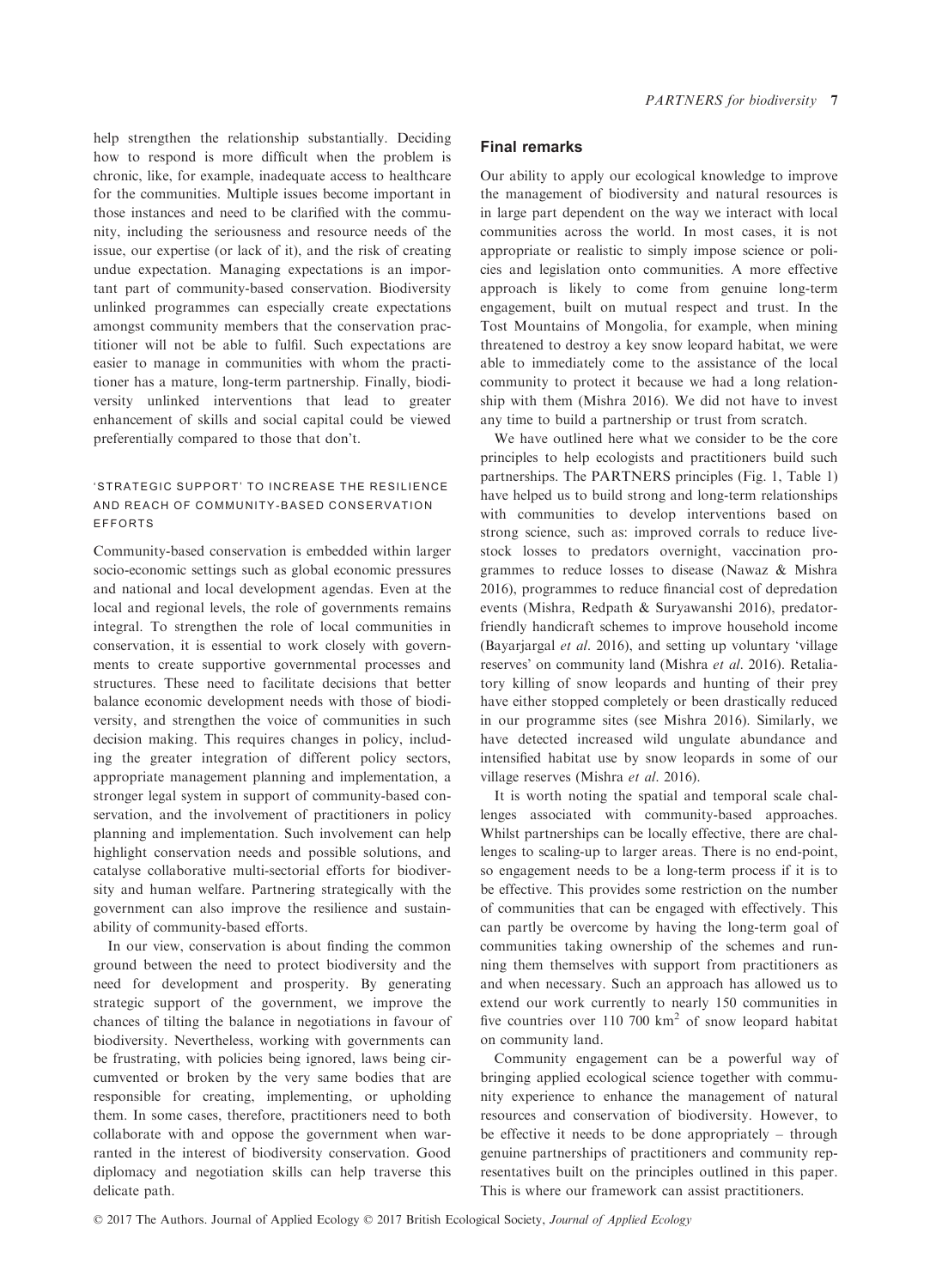help strengthen the relationship substantially. Deciding how to respond is more difficult when the problem is chronic, like, for example, inadequate access to healthcare for the communities. Multiple issues become important in those instances and need to be clarified with the community, including the seriousness and resource needs of the issue, our expertise (or lack of it), and the risk of creating undue expectation. Managing expectations is an important part of community-based conservation. Biodiversity unlinked programmes can especially create expectations amongst community members that the conservation practitioner will not be able to fulfil. Such expectations are easier to manage in communities with whom the practitioner has a mature, long-term partnership. Finally, biodiversity unlinked interventions that lead to greater enhancement of skills and social capital could be viewed preferentially compared to those that don't.

## 'STRATEGIC SUPPORT' TO INCREASE THE RESILIENCE AND REACH OF COMMUNITY-BASED CONSERVATION EFFORTS

Community-based conservation is embedded within larger socio-economic settings such as global economic pressures and national and local development agendas. Even at the local and regional levels, the role of governments remains integral. To strengthen the role of local communities in conservation, it is essential to work closely with governments to create supportive governmental processes and structures. These need to facilitate decisions that better balance economic development needs with those of biodiversity, and strengthen the voice of communities in such decision making. This requires changes in policy, including the greater integration of different policy sectors, appropriate management planning and implementation, a stronger legal system in support of community-based conservation, and the involvement of practitioners in policy planning and implementation. Such involvement can help highlight conservation needs and possible solutions, and catalyse collaborative multi-sectorial efforts for biodiversity and human welfare. Partnering strategically with the government can also improve the resilience and sustainability of community-based efforts.

In our view, conservation is about finding the common ground between the need to protect biodiversity and the need for development and prosperity. By generating strategic support of the government, we improve the chances of tilting the balance in negotiations in favour of biodiversity. Nevertheless, working with governments can be frustrating, with policies being ignored, laws being circumvented or broken by the very same bodies that are responsible for creating, implementing, or upholding them. In some cases, therefore, practitioners need to both collaborate with and oppose the government when warranted in the interest of biodiversity conservation. Good diplomacy and negotiation skills can help traverse this delicate path.

## Final remarks

Our ability to apply our ecological knowledge to improve the management of biodiversity and natural resources is in large part dependent on the way we interact with local communities across the world. In most cases, it is not appropriate or realistic to simply impose science or policies and legislation onto communities. A more effective approach is likely to come from genuine long-term engagement, built on mutual respect and trust. In the Tost Mountains of Mongolia, for example, when mining threatened to destroy a key snow leopard habitat, we were able to immediately come to the assistance of the local community to protect it because we had a long relationship with them (Mishra 2016). We did not have to invest any time to build a partnership or trust from scratch.

We have outlined here what we consider to be the core principles to help ecologists and practitioners build such partnerships. The PARTNERS principles (Fig. 1, Table 1) have helped us to build strong and long-term relationships with communities to develop interventions based on strong science, such as: improved corrals to reduce livestock losses to predators overnight, vaccination programmes to reduce losses to disease (Nawaz & Mishra 2016), programmes to reduce financial cost of depredation events (Mishra, Redpath & Suryawanshi 2016), predatorfriendly handicraft schemes to improve household income (Bayarjargal et al. 2016), and setting up voluntary 'village reserves' on community land (Mishra et al. 2016). Retaliatory killing of snow leopards and hunting of their prey have either stopped completely or been drastically reduced in our programme sites (see Mishra 2016). Similarly, we have detected increased wild ungulate abundance and intensified habitat use by snow leopards in some of our village reserves (Mishra et al. 2016).

It is worth noting the spatial and temporal scale challenges associated with community-based approaches. Whilst partnerships can be locally effective, there are challenges to scaling-up to larger areas. There is no end-point, so engagement needs to be a long-term process if it is to be effective. This provides some restriction on the number of communities that can be engaged with effectively. This can partly be overcome by having the long-term goal of communities taking ownership of the schemes and running them themselves with support from practitioners as and when necessary. Such an approach has allowed us to extend our work currently to nearly 150 communities in five countries over  $110,700 \text{ km}^2$  of snow leopard habitat on community land.

Community engagement can be a powerful way of bringing applied ecological science together with community experience to enhance the management of natural resources and conservation of biodiversity. However, to be effective it needs to be done appropriately – through genuine partnerships of practitioners and community representatives built on the principles outlined in this paper. This is where our framework can assist practitioners.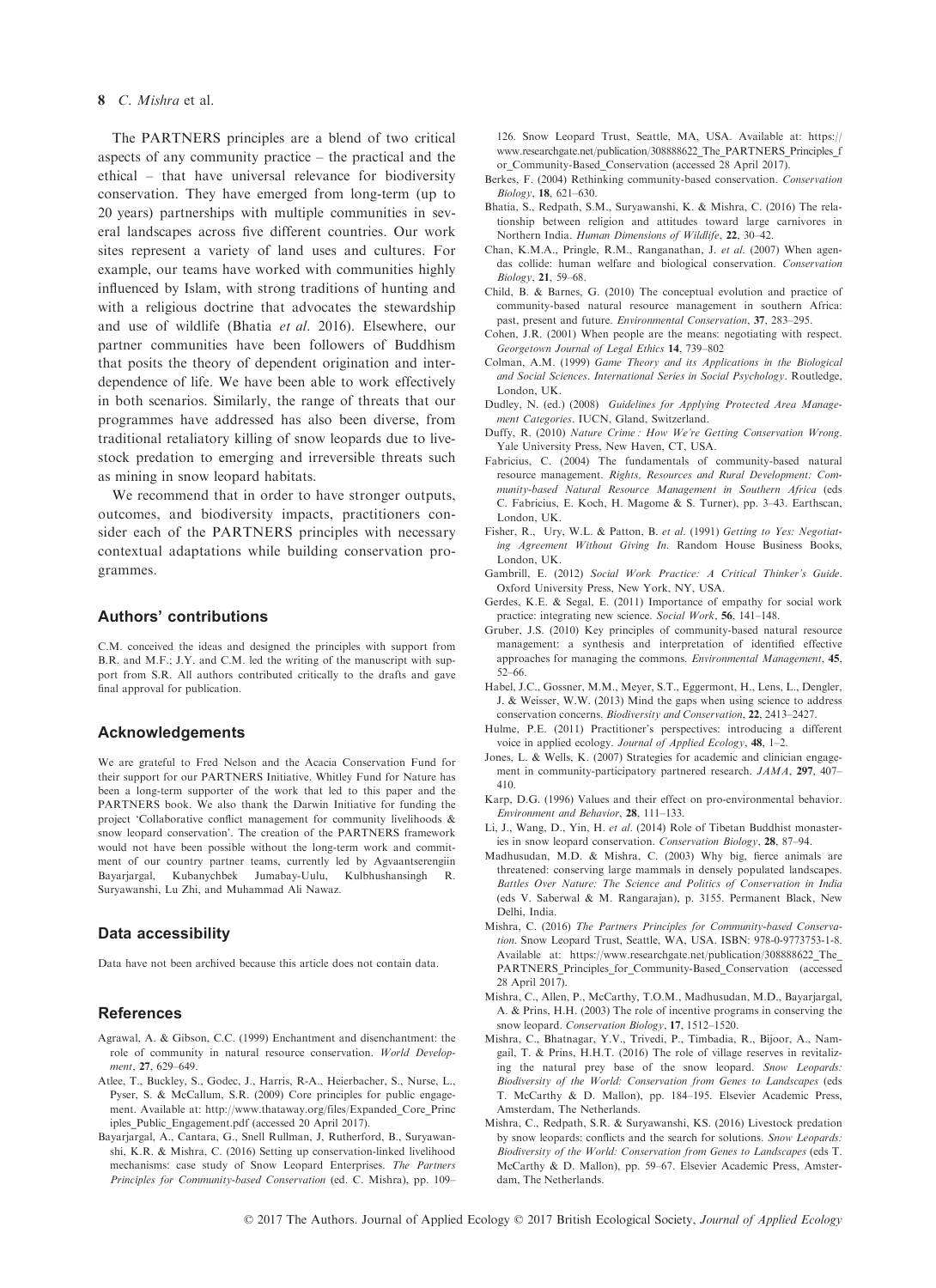## 8 C. Mishra et al.

The PARTNERS principles are a blend of two critical aspects of any community practice – the practical and the ethical – that have universal relevance for biodiversity conservation. They have emerged from long-term (up to 20 years) partnerships with multiple communities in several landscapes across five different countries. Our work sites represent a variety of land uses and cultures. For example, our teams have worked with communities highly influenced by Islam, with strong traditions of hunting and with a religious doctrine that advocates the stewardship and use of wildlife (Bhatia et al. 2016). Elsewhere, our partner communities have been followers of Buddhism that posits the theory of dependent origination and interdependence of life. We have been able to work effectively in both scenarios. Similarly, the range of threats that our programmes have addressed has also been diverse, from traditional retaliatory killing of snow leopards due to livestock predation to emerging and irreversible threats such as mining in snow leopard habitats.

We recommend that in order to have stronger outputs, outcomes, and biodiversity impacts, practitioners consider each of the PARTNERS principles with necessary contextual adaptations while building conservation programmes.

## Authors' contributions

C.M. conceived the ideas and designed the principles with support from B.R. and M.F.; J.Y. and C.M. led the writing of the manuscript with support from S.R. All authors contributed critically to the drafts and gave final approval for publication.

## Acknowledgements

We are grateful to Fred Nelson and the Acacia Conservation Fund for their support for our PARTNERS Initiative. Whitley Fund for Nature has been a long-term supporter of the work that led to this paper and the PARTNERS book. We also thank the Darwin Initiative for funding the project 'Collaborative conflict management for community livelihoods & snow leopard conservation'. The creation of the PARTNERS framework would not have been possible without the long-term work and commitment of our country partner teams, currently led by Agvaantserengiin Bayariargal, Kubanychbek Jumabay-Uulu, Kulbhushansingh Suryawanshi, Lu Zhi, and Muhammad Ali Nawaz.

#### Data accessibility

Data have not been archived because this article does not contain data.

## References

- Agrawal, A. & Gibson, C.C. (1999) Enchantment and disenchantment: the role of community in natural resource conservation. World Development, 27, 629–649.
- Atlee, T., Buckley, S., Godec, J., Harris, R-A., Heierbacher, S., Nurse, L., Pyser, S. & McCallum, S.R. (2009) Core principles for public engagement. Available at: [http://www.thataway.org/files/Expanded\\_Core\\_Princ](http://www.thataway.org/files/Expanded_Core_Principles_Public_Engagement.pdf) [iples\\_Public\\_Engagement.pdf](http://www.thataway.org/files/Expanded_Core_Principles_Public_Engagement.pdf) (accessed 20 April 2017).
- Bayarjargal, A., Cantara, G., Snell Rullman, J, Rutherford, B., Suryawanshi, K.R. & Mishra, C. (2016) Setting up conservation-linked livelihood mechanisms: case study of Snow Leopard Enterprises. The Partners Principles for Community-based Conservation (ed. C. Mishra), pp. 109–

126. Snow Leopard Trust, Seattle, MA, USA. Available at: [https://](https://www.researchgate.net/publication/308888622_The_PARTNERS_Principles_for_Community-Based_Conservation) [www.researchgate.net/publication/308888622\\_The\\_PARTNERS\\_Principles\\_f](https://www.researchgate.net/publication/308888622_The_PARTNERS_Principles_for_Community-Based_Conservation) [or\\_Community-Based\\_Conservation](https://www.researchgate.net/publication/308888622_The_PARTNERS_Principles_for_Community-Based_Conservation) (accessed 28 April 2017).

- Berkes, F. (2004) Rethinking community-based conservation. Conservation Biology, 18, 621–630.
- Bhatia, S., Redpath, S.M., Suryawanshi, K. & Mishra, C. (2016) The relationship between religion and attitudes toward large carnivores in Northern India. Human Dimensions of Wildlife, 22, 30–42.
- Chan, K.M.A., Pringle, R.M., Ranganathan, J. et al. (2007) When agendas collide: human welfare and biological conservation. Conservation Biology, 21, 59–68.
- Child, B. & Barnes, G. (2010) The conceptual evolution and practice of community-based natural resource management in southern Africa: past, present and future. Environmental Conservation, 37, 283–295.
- Cohen, J.R. (2001) When people are the means: negotiating with respect. Georgetown Journal of Legal Ethics 14, 739–802
- Colman, A.M. (1999) Game Theory and its Applications in the Biological and Social Sciences. International Series in Social Psychology. Routledge, London, UK.
- Dudley, N. (ed.) (2008) Guidelines for Applying Protected Area Management Categories. IUCN, Gland, Switzerland.
- Duffy, R. (2010) Nature Crime : How We're Getting Conservation Wrong. Yale University Press, New Haven, CT, USA.
- Fabricius, C. (2004) The fundamentals of community-based natural resource management. Rights, Resources and Rural Development: Community-based Natural Resource Management in Southern Africa (eds C. Fabricius, E. Koch, H. Magome & S. Turner), pp. 3–43. Earthscan, London, UK.
- Fisher, R., Ury, W.L. & Patton, B. et al. (1991) Getting to Yes: Negotiating Agreement Without Giving In. Random House Business Books, London, UK.
- Gambrill, E. (2012) Social Work Practice: A Critical Thinker's Guide. Oxford University Press, New York, NY, USA.
- Gerdes, K.E. & Segal, E. (2011) Importance of empathy for social work practice: integrating new science. Social Work, 56, 141–148.
- Gruber, J.S. (2010) Key principles of community-based natural resource management: a synthesis and interpretation of identified effective approaches for managing the commons. Environmental Management, 45, 52–66.
- Habel, J.C., Gossner, M.M., Meyer, S.T., Eggermont, H., Lens, L., Dengler, J. & Weisser, W.W. (2013) Mind the gaps when using science to address conservation concerns. Biodiversity and Conservation, 22, 2413–2427.
- Hulme, P.E. (2011) Practitioner's perspectives: introducing a different voice in applied ecology. Journal of Applied Ecology, 48, 1–2.
- Jones, L. & Wells, K. (2007) Strategies for academic and clinician engagement in community-participatory partnered research. JAMA, 297, 407– 410.
- Karp, D.G. (1996) Values and their effect on pro-environmental behavior. Environment and Behavior, 28, 111–133.
- Li, J., Wang, D., Yin, H. et al. (2014) Role of Tibetan Buddhist monasteries in snow leopard conservation. Conservation Biology, 28, 87–94.
- Madhusudan, M.D. & Mishra, C. (2003) Why big, fierce animals are threatened: conserving large mammals in densely populated landscapes. Battles Over Nature: The Science and Politics of Conservation in India (eds V. Saberwal & M. Rangarajan), p. 3155. Permanent Black, New Delhi, India.
- Mishra, C. (2016) The Partners Principles for Community-based Conservation. Snow Leopard Trust, Seattle, WA, USA. ISBN: 978-0-9773753-1-8. Available at: [https://www.researchgate.net/publication/308888622\\_The\\_](https://www.researchgate.net/publication/308888622_The_PARTNERS_Principles_for_Community-Based_Conservation) [PARTNERS\\_Principles\\_for\\_Community-Based\\_Conservation](https://www.researchgate.net/publication/308888622_The_PARTNERS_Principles_for_Community-Based_Conservation) (accessed 28 April 2017).
- Mishra, C., Allen, P., McCarthy, T.O.M., Madhusudan, M.D., Bayarjargal, A. & Prins, H.H. (2003) The role of incentive programs in conserving the snow leopard. Conservation Biology, 17, 1512–1520.
- Mishra, C., Bhatnagar, Y.V., Trivedi, P., Timbadia, R., Bijoor, A., Namgail, T. & Prins, H.H.T. (2016) The role of village reserves in revitalizing the natural prey base of the snow leopard. Snow Leopards: Biodiversity of the World: Conservation from Genes to Landscapes (eds T. McCarthy & D. Mallon), pp. 184–195. Elsevier Academic Press, Amsterdam, The Netherlands.
- Mishra, C., Redpath, S.R. & Suryawanshi, KS. (2016) Livestock predation by snow leopards: conflicts and the search for solutions. Snow Leopards: Biodiversity of the World: Conservation from Genes to Landscapes (eds T. McCarthy & D. Mallon), pp. 59–67. Elsevier Academic Press, Amsterdam, The Netherlands.